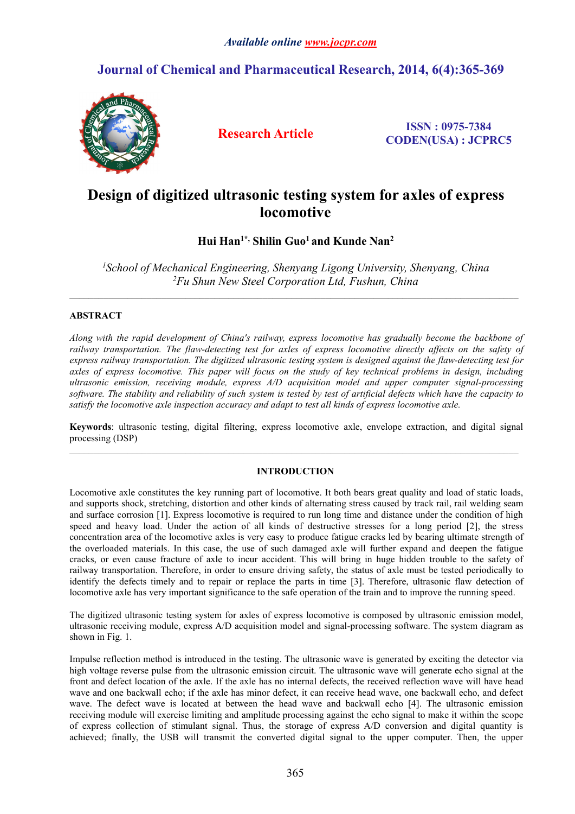# **Journal of Chemical and Pharmaceutical Research, 2014, 6(4):365-369**



**Research Article ISSN : 0975-7384 CODEN(USA) : JCPRC5**

# **Design of digitized ultrasonic testing system for axles ofexpress locomotive**

**Hui Han1\*, Shilin Guo<sup>1</sup> and Kunde Nan<sup>2</sup>**

*<sup>1</sup>School of Mechanical Engineering, Shenyang Ligong University, Shenyang, China <sup>2</sup>Fu Shun New SteelCorporation Ltd, Fushun, China*

 $\_$  , and the state of the state of the state of the state of the state of the state of the state of the state of the state of the state of the state of the state of the state of the state of the state of the state of the

 $\_$  , and the state of the state of the state of the state of the state of the state of the state of the state of the state of the state of the state of the state of the state of the state of the state of the state of the

# **ABSTRACT**

*Along with the rapid development of China's railway, express locomotive has gradually become the backbone of* railway transportation. The flaw-detecting test for axles of express locomotive directly affects on the safety of *express railway transportation. The digitized ultrasonic testing system is designed against the flaw-detecting test for* axles of express locomotive. This paper will focus on the study of key technical problems in design, including *ultrasonic emission, receiving module, express A/D acquisition model and upper computer signal-processing* software. The stability and reliability of such system is tested by test of artificial defects which have the capacity to *satisfy the locomotive axle inspection accuracy and adapt to test all kinds of express locomotive axle.*

**Keywords**: ultrasonic testing, digital filtering, express locomotive axle, envelope extraction, and digital signal processing (DSP)

# **INTRODUCTION**

Locomotive axle constitutes the key running part of locomotive. It both bears great quality and load of static loads, and supports shock, stretching, distortion and other kinds of alternating stress caused by track rail, rail welding seam and surface corrosion [1]. Express locomotive is required to run long time and distance under the condition of high speed and heavy load. Under the action of all kinds of destructive stresses for a long period [2], the stress concentration area of the locomotive axles is very easy to produce fatigue cracks led by bearing ultimate strength of the overloaded materials. In this case, the use of such damaged axle will further expand and deepen the fatigue cracks, or even cause fracture of axle to incur accident. This will bring in huge hidden trouble to the safety of railway transportation. Therefore, in order to ensure driving safety, the status of axle must be tested periodically to identify the defects timely and to repair or replace the parts in time [3]. Therefore, ultrasonic flaw detection of locomotive axle has very important significance to the safe operation of the train and to improve the running speed.

The digitized ultrasonic testing system for axles of express locomotive is composed by ultrasonic emission model, ultrasonic receiving module, express A/D acquisition model and signal-processing software. The system diagram as shown in Fig. 1.

Impulse reflection method is introduced in the testing. The ultrasonic wave is generated by exciting the detector via high voltage reverse pulse from the ultrasonic emission circuit. The ultrasonic wave will generate echo signal at the front and defect location of the axle. If the axle has no internal defects, the received reflection wave willhave head wave and one backwall echo; if the axle has minor defect, it can receive head wave, one backwall echo, and defect wave. The defect wave is located at between the head wave and backwall echo [4]. The ultrasonic emission receiving module will exercise limiting and amplitude processing against the echo signal to make it within the scope of express collection of stimulant signal. Thus, the storage of express A/D conversion and digital quantity is achieved; finally, the USB will transmit the converted digital signal to the upper computer. Then, the upper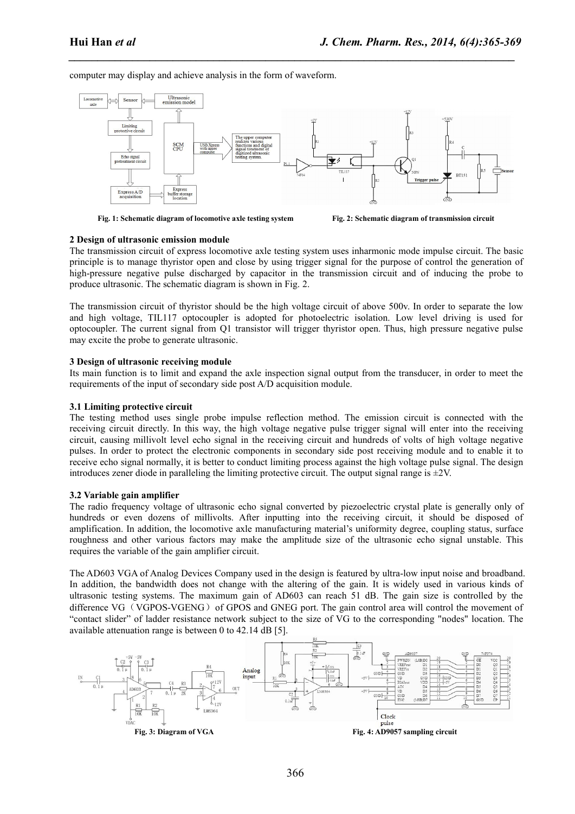computer may display and achieve analysis in the form of waveform.



*\_\_\_\_\_\_\_\_\_\_\_\_\_\_\_\_\_\_\_\_\_\_\_\_\_\_\_\_\_\_\_\_\_\_\_\_\_\_\_\_\_\_\_\_\_\_\_\_\_\_\_\_\_\_\_\_\_\_\_\_\_\_\_\_\_\_\_\_\_\_\_\_\_\_\_\_\_*

**Fig. 1: Schematic diagram of locomotive axle testing system Fig. 2: Schematic diagram of transmission circuit**

# **2 Design of ultrasonic emission module**

The transmission circuit of express locomotive axle testing system uses inharmonic mode impulse circuit. The basic principle isto manage thyristor open and close by using trigger signal for the purpose of control the generation of high-pressure negative pulse discharged by capacitor in the transmission circuit and of inducing the probe to produce ultrasonic. The schematic diagram is shown in Fig. 2.

The transmission circuit of thyristor should be the high voltage circuit of above 500v. In order to separate the low and high voltage, TIL117 optocoupler is adopted for photoelectric isolation. Low level driving is used for optocoupler. The current signal from Q1 transistor will trigger thyristor open. Thus, high pressure negative pulse may excite the probe to generate ultrasonic.

# **3 Design of ultrasonic receiving module**

Its main function is to limit and expand the axle inspection signal output from the transducer, in order to meet the requirements of the input of secondary side post A/D acquisition module.

#### **3.1 Limiting protective circuit**

The testing method uses single probe impulse reflection method. The emission circuit is connected with the receiving circuit directly. In this way, the high voltage negative pulse trigger signal will enter into the receiving circuit, causing millivolt level echo signal in the receiving circuit and hundreds of volts of high voltage negative pulses. In order to protect the electronic components in secondary side post receiving module and to enable it to receive echo signal normally, it is better to conduct limiting process against the high voltage pulse signal. The design introduces zener diode in paralleling the limiting protective circuit. The output signal range is  $\pm 2V$ .

#### **3.2 Variable gain amplifier**

The radio frequency voltage of ultrasonic echo signal converted by piezoelectric crystal plate isgenerally only of hundreds or even dozens of millivolts. After inputting into the receiving circuit, it should be disposed of amplification. In addition, the locomotive axle manufacturing material's uniformity degree, coupling status, surface roughness and other various factors may make the amplitude size of the ultrasonic echo signal unstable. This requires the variable of the gain amplifier circuit.

The AD603 VGA of Analog Devices Company used in the design is featured by ultra-low input noise and broadband. In addition, the bandwidth does not change with the altering of the gain. It is widely used in various kinds of ultrasonic testing systems. The maximum gain of AD603 can reach 51 dB. The gain size is controlled by the difference VG (VGPOS-VGENG) of GPOS and GNEG port. The gain control area will control the movement of "contact slider" of ladder resistance network subject to the size of VG to the corresponding "nodes" location. The available attenuation range is between 0 to 42.14 dB [5].

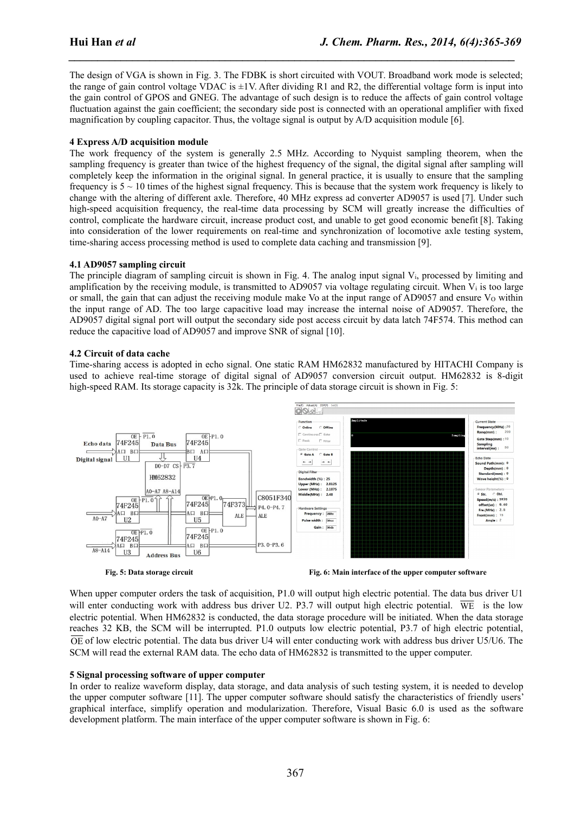The design of VGA is shown in Fig. 3. The FDBK is short circuited with VOUT. Broadband work mode is selected; the range of gain control voltage VDAC is  $\pm 1V$ . After dividing R1 and R2, the differential voltage form is input into the gain control of GPOS and GNEG. The advantage of such design is to reduce the affects of gain control voltage fluctuation against the gain coefficient; the secondary side post is connected with an operational amplifier with fixed magnification by coupling capacitor. Thus, the voltage signal is output by A/D acquisition module [6].

*\_\_\_\_\_\_\_\_\_\_\_\_\_\_\_\_\_\_\_\_\_\_\_\_\_\_\_\_\_\_\_\_\_\_\_\_\_\_\_\_\_\_\_\_\_\_\_\_\_\_\_\_\_\_\_\_\_\_\_\_\_\_\_\_\_\_\_\_\_\_\_\_\_\_\_\_\_*

# **4 Express A/D acquisition module**

The work frequency of the system is generally 2.5 MHz. According to Nyquist sampling theorem, when the sampling frequency is greater than twice of the highest frequency of the signal, the digital signal after sampling will completely keep the information in the original signal. In general practice, it is usually to ensure that the sampling frequency is  $5 \sim 10$  times of the highest signal frequency. This is because that the system work frequency is likely to change with the altering of different axle. Therefore, 40 MHz express ad converter AD9057 is used [7]. Under such high-speed acquisition frequency, the real-time data processing by SCM will greatly increase the difficulties of control, complicate the hardware circuit, increase product cost, and unable to get good economic benefit [8]. Taking into consideration of the lower requirements on real-time and synchronization of locomotive axle testing system, time-sharing access processing method is used to complete data caching and transmission [9].

# **4.1 AD9057 sampling circuit**

The principle diagram of sampling circuit is shown in Fig. 4. The analog input signal V<sub>i</sub>, processed by limiting and amplification by the receiving module, is transmitted to AD9057 via voltage regulating circuit. When V<sup>i</sup> istoo large or small, the gain that can adjust the receiving module make Vo at the input range of AD9057 and ensure Vo within the input range of AD. The too large capacitive load may increase the internal noise of AD9057. Therefore, the AD9057 digital signal port will output the secondary side post access circuit by data latch 74F574. This method can reduce the capacitive load of AD9057 and improve SNR of signal [10].

# **4.2 Circuit of data cache**

Time-sharing access is adopted in echo signal. One static RAM HM62832 manufactured by HITACHI Company is used to achieve real-time storage of digital signal of AD9057 conversion circuit output. HM62832 is 8-digit high-speed RAM. Its storage capacity is  $32k$ . The principle of data storage circuit is shown in Fig. 5:



**Fig. 5: Data storage circuit Fig. 6: Main interface of the upper computer software**

When upper computer orders the task of acquisition, P1.0 will output high electric potential. The data bus driver U1 will enter conducting work with address bus driver U2. P3.7 will output high electric potential.  $\overline{WE}$  is the low electric potential. When HM62832 is conducted, the data storage procedure will be initiated. When the data storage reaches 32 KB, the SCM will be interrupted. P1.0 outputs low electric potential, P3.7 of high electric potential,  $\overline{OE}$  of low electric potential. The data bus driver U4 will enter conducting work with address bus driver U5/U6. The SCM will read the external RAM data. The echo data of HM62832 is transmitted to the upper computer.

# **5 Signal processing software of upper computer**

In order to realize waveform display, data storage, and data analysis of such testing system, it is needed to develop the upper computer software [11]. The upper computer software should satisfy the characteristics of friendly users' graphical interface, simplify operation and modularization. Therefore, Visual Basic 6.0 is used as the software development platform. The main interface of the upper computer software is shown in Fig. 6: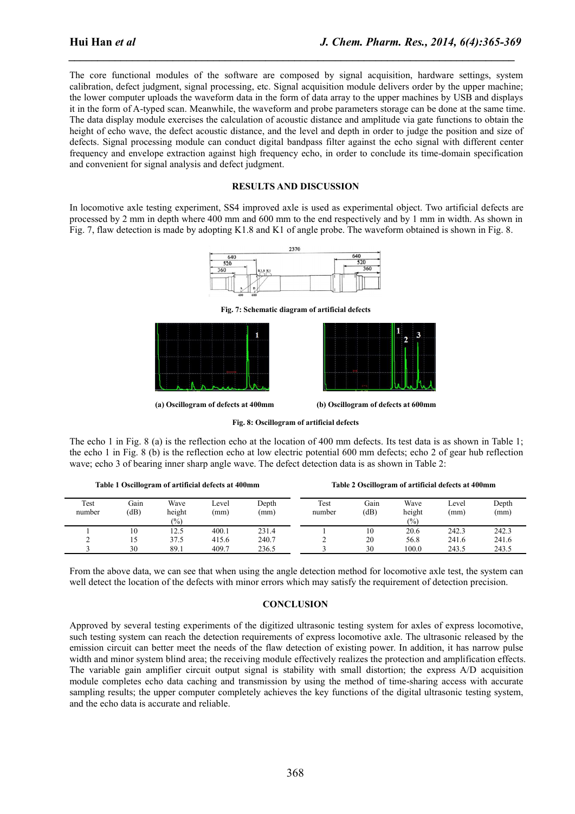The core functional modules of the software are composed by signal acquisition, hardware settings, system calibration, defect judgment, signal processing, etc. Signal acquisition module delivers order by the upper machine; the lower computer uploads the waveform data in the form of data array to the upper machines by USB and displays it in the form of A-typed scan. Meanwhile, the waveform and probe parameters storage can be done at the same time. The data display module exercises the calculation of acoustic distance and amplitude via gate functions to obtain the height of echo wave, the defect acoustic distance, and the level and depth in order to judge the position and size of defects. Signal processing module can conduct digital bandpass filter against the echo signal with different center frequency and envelope extraction against high frequency echo, in order to conclude its time-domain specification and convenient for signal analysis and defect judgment.

*\_\_\_\_\_\_\_\_\_\_\_\_\_\_\_\_\_\_\_\_\_\_\_\_\_\_\_\_\_\_\_\_\_\_\_\_\_\_\_\_\_\_\_\_\_\_\_\_\_\_\_\_\_\_\_\_\_\_\_\_\_\_\_\_\_\_\_\_\_\_\_\_\_\_\_\_\_*

### **RESULTS AND DISCUSSION**

In locomotive axle testing experiment, SS4 improved axle is used as experimental object. Two artificial defects are processed by 2 mm in depth where 400 mm and 600 mm to the end respectively and by 1 mm in width. As shown in Fig. 7, flaw detection is made by adopting K1.8 and K1 of angle probe. The waveform obtained is shown in Fig. 8.



**Fig. 7: Schematic diagram of artificial defects**





**(a) Oscillogram of defects at400mm (b) Oscillogram of defects at600mm**

**Fig. 8: Oscillogram of artificial defects**

The echo 1 in Fig. 8 (a) is the reflection echo at the location of 400 mm defects. Its test data is as shown in Table 1; the echo 1 in Fig. 8 (b) is the reflection echo at low electric potential 600 mm defects; echo 2 of gearhub reflection wave; echo 3 of bearing inner sharp angle wave. The defect detection data is as shown in Table 2:

| Table 1 Oscillogram of artificial defects at 400mm |              |                         |              |               | Table 2 Oscillogram of artificial defects at 400mm |              |                       |               |               |
|----------------------------------------------------|--------------|-------------------------|--------------|---------------|----------------------------------------------------|--------------|-----------------------|---------------|---------------|
| Test<br>number                                     | Gain<br>(dB) | Wave<br>height<br>(0/0) | Level<br>(mm | Depth<br>(mm) | Test<br>number                                     | Gain<br>(dB) | Wave<br>height<br>(%) | Level<br>(mm) | Depth<br>(mm) |
|                                                    | 10           | 12.5                    | 400.1        | 231.4         |                                                    | 10           | 20.6                  | 242.3         | 242.3         |
|                                                    | L5           | 37.5                    | 415.6        | 240.7         |                                                    | 20           | 56.8                  | 241.6         | 241.6         |
|                                                    | 30           | 89.1                    | 409.7        | 236.5         |                                                    | 30           | 100.0                 | 243.5         | 243.5         |

From the above data, we can see that when using the angle detection method for locomotive axle test, the system can well detect the location of the defects with minor errors which may satisfy the requirement of detection precision.

# **CONCLUSION**

Approved by several testing experiments of the digitized ultrasonic testing system for axles of express locomotive, such testing system can reach the detection requirements of express locomotive axle. The ultrasonic released by the emission circuit can better meet the needs of the flaw detection of existing power. In addition, it has narrow pulse width and minor system blind area; the receiving module effectively realizes the protection and amplification effects. The variable gain amplifier circuit output signal is stability with small distortion; the express A/D acquisition module completes echo data caching and transmission by using the method of time-sharing access with accurate sampling results; the upper computer completely achieves the key functions of the digital ultrasonic testing system, and the echo data is accurate and reliable.